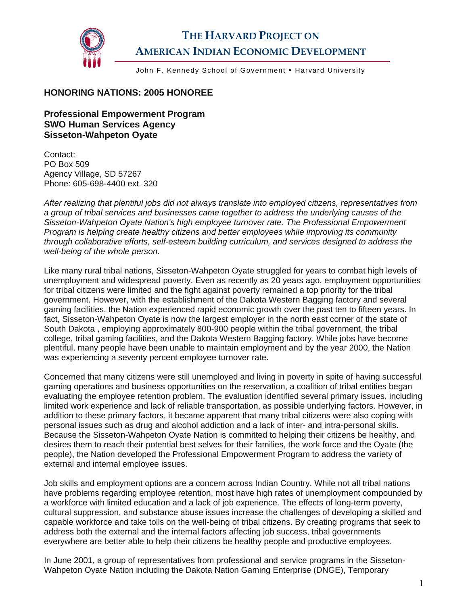

## **THE HARVARD PROJECT ON AMERICAN INDIAN ECONOMIC DEVELOPMENT**

John F. Kennedy School of Government • Harvard University

## **HONORING NATIONS: 2005 HONOREE**

**Professional Empowerment Program SWO Human Services Agency Sisseton-Wahpeton Oyate** 

Contact: PO Box 509 Agency Village, SD 57267 Phone: 605-698-4400 ext. 320

*After realizing that plentiful jobs did not always translate into employed citizens, representatives from a group of tribal services and businesses came together to address the underlying causes of the Sisseton-Wahpeton Oyate Nation's high employee turnover rate. The Professional Empowerment Program is helping create healthy citizens and better employees while improving its community through collaborative efforts, self-esteem building curriculum, and services designed to address the well-being of the whole person.* 

Like many rural tribal nations, Sisseton-Wahpeton Oyate struggled for years to combat high levels of unemployment and widespread poverty. Even as recently as 20 years ago, employment opportunities for tribal citizens were limited and the fight against poverty remained a top priority for the tribal government. However, with the establishment of the Dakota Western Bagging factory and several gaming facilities, the Nation experienced rapid economic growth over the past ten to fifteen years. In fact, Sisseton-Wahpeton Oyate is now the largest employer in the north east corner of the state of South Dakota , employing approximately 800-900 people within the tribal government, the tribal college, tribal gaming facilities, and the Dakota Western Bagging factory. While jobs have become plentiful, many people have been unable to maintain employment and by the year 2000, the Nation was experiencing a seventy percent employee turnover rate.

Concerned that many citizens were still unemployed and living in poverty in spite of having successful gaming operations and business opportunities on the reservation, a coalition of tribal entities began evaluating the employee retention problem. The evaluation identified several primary issues, including limited work experience and lack of reliable transportation, as possible underlying factors. However, in addition to these primary factors, it became apparent that many tribal citizens were also coping with personal issues such as drug and alcohol addiction and a lack of inter- and intra-personal skills. Because the Sisseton-Wahpeton Oyate Nation is committed to helping their citizens be healthy, and desires them to reach their potential best selves for their families, the work force and the Oyate (the people), the Nation developed the Professional Empowerment Program to address the variety of external and internal employee issues.

Job skills and employment options are a concern across Indian Country. While not all tribal nations have problems regarding employee retention, most have high rates of unemployment compounded by a workforce with limited education and a lack of job experience. The effects of long-term poverty, cultural suppression, and substance abuse issues increase the challenges of developing a skilled and capable workforce and take tolls on the well-being of tribal citizens. By creating programs that seek to address both the external and the internal factors affecting job success, tribal governments everywhere are better able to help their citizens be healthy people and productive employees.

In June 2001, a group of representatives from professional and service programs in the Sisseton-Wahpeton Oyate Nation including the Dakota Nation Gaming Enterprise (DNGE), Temporary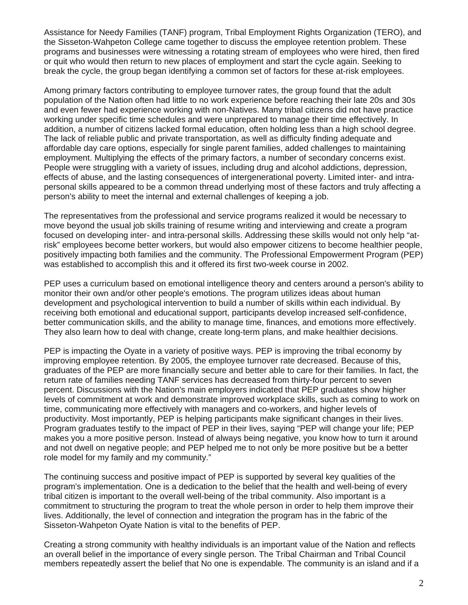Assistance for Needy Families (TANF) program, Tribal Employment Rights Organization (TERO), and the Sisseton-Wahpeton College came together to discuss the employee retention problem. These programs and businesses were witnessing a rotating stream of employees who were hired, then fired or quit who would then return to new places of employment and start the cycle again. Seeking to break the cycle, the group began identifying a common set of factors for these at-risk employees.

Among primary factors contributing to employee turnover rates, the group found that the adult population of the Nation often had little to no work experience before reaching their late 20s and 30s and even fewer had experience working with non-Natives. Many tribal citizens did not have practice working under specific time schedules and were unprepared to manage their time effectively. In addition, a number of citizens lacked formal education, often holding less than a high school degree. The lack of reliable public and private transportation, as well as difficulty finding adequate and affordable day care options, especially for single parent families, added challenges to maintaining employment. Multiplying the effects of the primary factors, a number of secondary concerns exist. People were struggling with a variety of issues, including drug and alcohol addictions, depression, effects of abuse, and the lasting consequences of intergenerational poverty. Limited inter- and intrapersonal skills appeared to be a common thread underlying most of these factors and truly affecting a person's ability to meet the internal and external challenges of keeping a job.

The representatives from the professional and service programs realized it would be necessary to move beyond the usual job skills training of resume writing and interviewing and create a program focused on developing inter- and intra-personal skills. Addressing these skills would not only help "atrisk" employees become better workers, but would also empower citizens to become healthier people, positively impacting both families and the community. The Professional Empowerment Program (PEP) was established to accomplish this and it offered its first two-week course in 2002.

PEP uses a curriculum based on emotional intelligence theory and centers around a person's ability to monitor their own and/or other people's emotions. The program utilizes ideas about human development and psychological intervention to build a number of skills within each individual. By receiving both emotional and educational support, participants develop increased self-confidence, better communication skills, and the ability to manage time, finances, and emotions more effectively. They also learn how to deal with change, create long-term plans, and make healthier decisions.

PEP is impacting the Oyate in a variety of positive ways. PEP is improving the tribal economy by improving employee retention. By 2005, the employee turnover rate decreased. Because of this, graduates of the PEP are more financially secure and better able to care for their families. In fact, the return rate of families needing TANF services has decreased from thirty-four percent to seven percent. Discussions with the Nation's main employers indicated that PEP graduates show higher levels of commitment at work and demonstrate improved workplace skills, such as coming to work on time, communicating more effectively with managers and co-workers, and higher levels of productivity. Most importantly, PEP is helping participants make significant changes in their lives. Program graduates testify to the impact of PEP in their lives, saying "PEP will change your life; PEP makes you a more positive person. Instead of always being negative, you know how to turn it around and not dwell on negative people; and PEP helped me to not only be more positive but be a better role model for my family and my community."

The continuing success and positive impact of PEP is supported by several key qualities of the program's implementation. One is a dedication to the belief that the health and well-being of every tribal citizen is important to the overall well-being of the tribal community. Also important is a commitment to structuring the program to treat the whole person in order to help them improve their lives. Additionally, the level of connection and integration the program has in the fabric of the Sisseton-Wahpeton Oyate Nation is vital to the benefits of PEP.

Creating a strong community with healthy individuals is an important value of the Nation and reflects an overall belief in the importance of every single person. The Tribal Chairman and Tribal Council members repeatedly assert the belief that No one is expendable. The community is an island and if a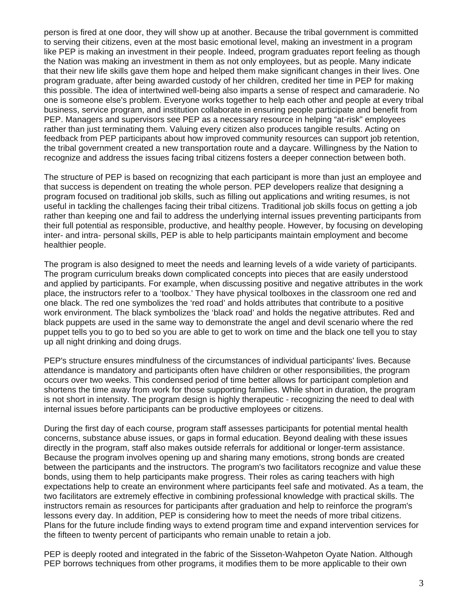person is fired at one door, they will show up at another. Because the tribal government is committed to serving their citizens, even at the most basic emotional level, making an investment in a program like PEP is making an investment in their people. Indeed, program graduates report feeling as though the Nation was making an investment in them as not only employees, but as people. Many indicate that their new life skills gave them hope and helped them make significant changes in their lives. One program graduate, after being awarded custody of her children, credited her time in PEP for making this possible. The idea of intertwined well-being also imparts a sense of respect and camaraderie. No one is someone else's problem. Everyone works together to help each other and people at every tribal business, service program, and institution collaborate in ensuring people participate and benefit from PEP. Managers and supervisors see PEP as a necessary resource in helping "at-risk" employees rather than just terminating them. Valuing every citizen also produces tangible results. Acting on feedback from PEP participants about how improved community resources can support job retention, the tribal government created a new transportation route and a daycare. Willingness by the Nation to recognize and address the issues facing tribal citizens fosters a deeper connection between both.

The structure of PEP is based on recognizing that each participant is more than just an employee and that success is dependent on treating the whole person. PEP developers realize that designing a program focused on traditional job skills, such as filling out applications and writing resumes, is not useful in tackling the challenges facing their tribal citizens. Traditional job skills focus on getting a job rather than keeping one and fail to address the underlying internal issues preventing participants from their full potential as responsible, productive, and healthy people. However, by focusing on developing inter- and intra- personal skills, PEP is able to help participants maintain employment and become healthier people.

The program is also designed to meet the needs and learning levels of a wide variety of participants. The program curriculum breaks down complicated concepts into pieces that are easily understood and applied by participants. For example, when discussing positive and negative attributes in the work place, the instructors refer to a 'toolbox.' They have physical toolboxes in the classroom one red and one black. The red one symbolizes the 'red road' and holds attributes that contribute to a positive work environment. The black symbolizes the 'black road' and holds the negative attributes. Red and black puppets are used in the same way to demonstrate the angel and devil scenario where the red puppet tells you to go to bed so you are able to get to work on time and the black one tell you to stay up all night drinking and doing drugs.

PEP's structure ensures mindfulness of the circumstances of individual participants' lives. Because attendance is mandatory and participants often have children or other responsibilities, the program occurs over two weeks. This condensed period of time better allows for participant completion and shortens the time away from work for those supporting families. While short in duration, the program is not short in intensity. The program design is highly therapeutic - recognizing the need to deal with internal issues before participants can be productive employees or citizens.

During the first day of each course, program staff assesses participants for potential mental health concerns, substance abuse issues, or gaps in formal education. Beyond dealing with these issues directly in the program, staff also makes outside referrals for additional or longer-term assistance. Because the program involves opening up and sharing many emotions, strong bonds are created between the participants and the instructors. The program's two facilitators recognize and value these bonds, using them to help participants make progress. Their roles as caring teachers with high expectations help to create an environment where participants feel safe and motivated. As a team, the two facilitators are extremely effective in combining professional knowledge with practical skills. The instructors remain as resources for participants after graduation and help to reinforce the program's lessons every day. In addition, PEP is considering how to meet the needs of more tribal citizens. Plans for the future include finding ways to extend program time and expand intervention services for the fifteen to twenty percent of participants who remain unable to retain a job.

PEP is deeply rooted and integrated in the fabric of the Sisseton-Wahpeton Oyate Nation. Although PEP borrows techniques from other programs, it modifies them to be more applicable to their own